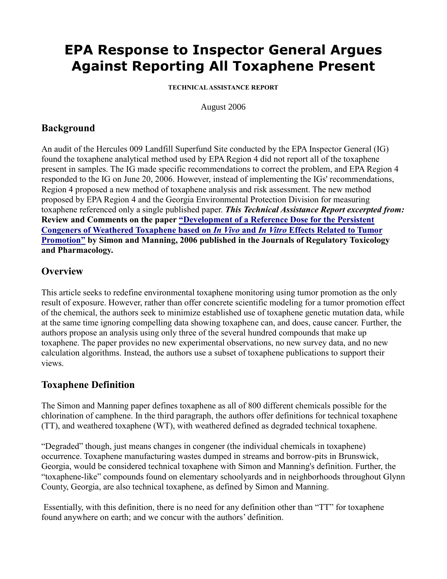# **EPA Response to Inspector General Argues Against Reporting All Toxaphene Present**

**TECHNICAL ASSISTANCE REPORT**

August 2006

## **Background**

An audit of the Hercules 009 Landfill Superfund Site conducted by the EPA Inspector General (IG) found the toxaphene analytical method used by EPA Region 4 did not report all of the toxaphene present in samples. The IG made specific recommendations to correct the problem, and EPA Region 4 responded to the IG on June 20, 2006. However, instead of implementing the IGs' recommendations, Region 4 proposed a new method of toxaphene analysis and risk assessment. The new method proposed by EPA Region 4 and the Georgia Environmental Protection Division for measuring toxaphene referenced only a single published paper. *This Technical Assistance Report excerpted from:* **Review and Comments on the paper ["Development of a Reference Dose for the Persistent](http://dx.doi.org/10.1016/j.yrtph.2006.01.001)  [Congeners of Weathered Toxaphene based on](http://dx.doi.org/10.1016/j.yrtph.2006.01.001)** *[In Vivo](http://dx.doi.org/10.1016/j.yrtph.2006.01.001)* **[and](http://dx.doi.org/10.1016/j.yrtph.2006.01.001)** *[In Vitro](http://dx.doi.org/10.1016/j.yrtph.2006.01.001)* **[Effects Related to Tumor](http://dx.doi.org/10.1016/j.yrtph.2006.01.001)  [Promotion"](http://dx.doi.org/10.1016/j.yrtph.2006.01.001) by Simon and Manning, 2006 published in the Journals of Regulatory Toxicology and Pharmacology.**

#### **Overview**

This article seeks to redefine environmental toxaphene monitoring using tumor promotion as the only result of exposure. However, rather than offer concrete scientific modeling for a tumor promotion effect of the chemical, the authors seek to minimize established use of toxaphene genetic mutation data, while at the same time ignoring compelling data showing toxaphene can, and does, cause cancer. Further, the authors propose an analysis using only three of the several hundred compounds that make up toxaphene. The paper provides no new experimental observations, no new survey data, and no new calculation algorithms. Instead, the authors use a subset of toxaphene publications to support their views.

## **Toxaphene Definition**

The Simon and Manning paper defines toxaphene as all of 800 different chemicals possible for the chlorination of camphene. In the third paragraph, the authors offer definitions for technical toxaphene (TT), and weathered toxaphene (WT), with weathered defined as degraded technical toxaphene.

"Degraded" though, just means changes in congener (the individual chemicals in toxaphene) occurrence. Toxaphene manufacturing wastes dumped in streams and borrow-pits in Brunswick, Georgia, would be considered technical toxaphene with Simon and Manning's definition. Further, the "toxaphene-like" compounds found on elementary schoolyards and in neighborhoods throughout Glynn County, Georgia, are also technical toxaphene, as defined by Simon and Manning.

Essentially, with this definition, there is no need for any definition other than "TT" for toxaphene found anywhere on earth; and we concur with the authors' definition.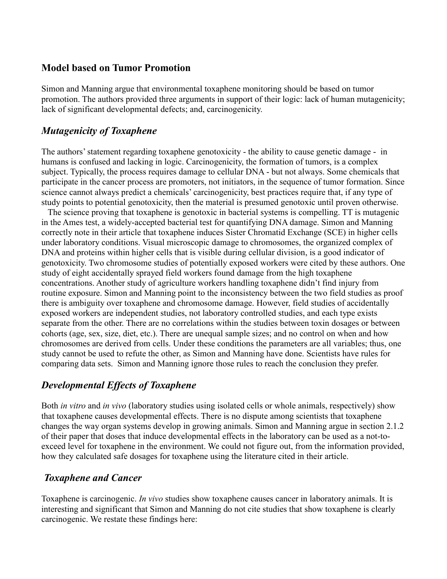#### **Model based on Tumor Promotion**

Simon and Manning argue that environmental toxaphene monitoring should be based on tumor promotion. The authors provided three arguments in support of their logic: lack of human mutagenicity; lack of significant developmental defects; and, carcinogenicity.

#### *Mutagenicity of Toxaphene*

The authors' statement regarding toxaphene genotoxicity - the ability to cause genetic damage - in humans is confused and lacking in logic. Carcinogenicity, the formation of tumors, is a complex subject. Typically, the process requires damage to cellular DNA - but not always. Some chemicals that participate in the cancer process are promoters, not initiators, in the sequence of tumor formation. Since science cannot always predict a chemicals' carcinogenicity, best practices require that, if any type of study points to potential genotoxicity, then the material is presumed genotoxic until proven otherwise.

The science proving that toxaphene is genotoxic in bacterial systems is compelling. TT is mutagenic in the Ames test, a widely-accepted bacterial test for quantifying DNA damage. Simon and Manning correctly note in their article that toxaphene induces Sister Chromatid Exchange (SCE) in higher cells under laboratory conditions. Visual microscopic damage to chromosomes, the organized complex of DNA and proteins within higher cells that is visible during cellular division, is a good indicator of genotoxicity. Two chromosome studies of potentially exposed workers were cited by these authors. One study of eight accidentally sprayed field workers found damage from the high toxaphene concentrations. Another study of agriculture workers handling toxaphene didn't find injury from routine exposure. Simon and Manning point to the inconsistency between the two field studies as proof there is ambiguity over toxaphene and chromosome damage. However, field studies of accidentally exposed workers are independent studies, not laboratory controlled studies, and each type exists separate from the other. There are no correlations within the studies between toxin dosages or between cohorts (age, sex, size, diet, etc.). There are unequal sample sizes; and no control on when and how chromosomes are derived from cells. Under these conditions the parameters are all variables; thus, one study cannot be used to refute the other, as Simon and Manning have done. Scientists have rules for comparing data sets. Simon and Manning ignore those rules to reach the conclusion they prefer.

#### *Developmental Effects of Toxaphene*

Both *in vitro* and *in vivo* (laboratory studies using isolated cells or whole animals, respectively) show that toxaphene causes developmental effects. There is no dispute among scientists that toxaphene changes the way organ systems develop in growing animals. Simon and Manning argue in section 2.1.2 of their paper that doses that induce developmental effects in the laboratory can be used as a not-toexceed level for toxaphene in the environment. We could not figure out, from the information provided, how they calculated safe dosages for toxaphene using the literature cited in their article.

#### *Toxaphene and Cancer*

Toxaphene is carcinogenic. *In vivo* studies show toxaphene causes cancer in laboratory animals. It is interesting and significant that Simon and Manning do not cite studies that show toxaphene is clearly carcinogenic. We restate these findings here: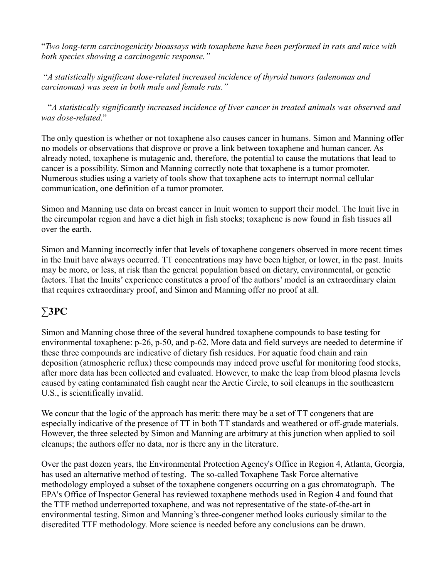"*Two long-term carcinogenicity bioassays with toxaphene have been performed in rats and mice with both species showing a carcinogenic response."*

"*A statistically significant dose-related increased incidence of thyroid tumors (adenomas and carcinomas) was seen in both male and female rats."*

"*A statistically significantly increased incidence of liver cancer in treated animals was observed and was dose-related*."

The only question is whether or not toxaphene also causes cancer in humans. Simon and Manning offer no models or observations that disprove or prove a link between toxaphene and human cancer. As already noted, toxaphene is mutagenic and, therefore, the potential to cause the mutations that lead to cancer is a possibility. Simon and Manning correctly note that toxaphene is a tumor promoter. Numerous studies using a variety of tools show that toxaphene acts to interrupt normal cellular communication, one definition of a tumor promoter.

Simon and Manning use data on breast cancer in Inuit women to support their model. The Inuit live in the circumpolar region and have a diet high in fish stocks; toxaphene is now found in fish tissues all over the earth.

Simon and Manning incorrectly infer that levels of toxaphene congeners observed in more recent times in the Inuit have always occurred. TT concentrations may have been higher, or lower, in the past. Inuits may be more, or less, at risk than the general population based on dietary, environmental, or genetic factors. That the Inuits' experience constitutes a proof of the authors' model is an extraordinary claim that requires extraordinary proof, and Simon and Manning offer no proof at all.

## ∑**3PC**

Simon and Manning chose three of the several hundred toxaphene compounds to base testing for environmental toxaphene: p-26, p-50, and p-62. More data and field surveys are needed to determine if these three compounds are indicative of dietary fish residues. For aquatic food chain and rain deposition (atmospheric reflux) these compounds may indeed prove useful for monitoring food stocks, after more data has been collected and evaluated. However, to make the leap from blood plasma levels caused by eating contaminated fish caught near the Arctic Circle, to soil cleanups in the southeastern U.S., is scientifically invalid.

We concur that the logic of the approach has merit: there may be a set of TT congeners that are especially indicative of the presence of TT in both TT standards and weathered or off-grade materials. However, the three selected by Simon and Manning are arbitrary at this junction when applied to soil cleanups; the authors offer no data, nor is there any in the literature.

Over the past dozen years, the Environmental Protection Agency's Office in Region 4, Atlanta, Georgia, has used an alternative method of testing. The so-called Toxaphene Task Force alternative methodology employed a subset of the toxaphene congeners occurring on a gas chromatograph. The EPA's Office of Inspector General has reviewed toxaphene methods used in Region 4 and found that the TTF method underreported toxaphene, and was not representative of the state-of-the-art in environmental testing. Simon and Manning's three-congener method looks curiously similar to the discredited TTF methodology. More science is needed before any conclusions can be drawn.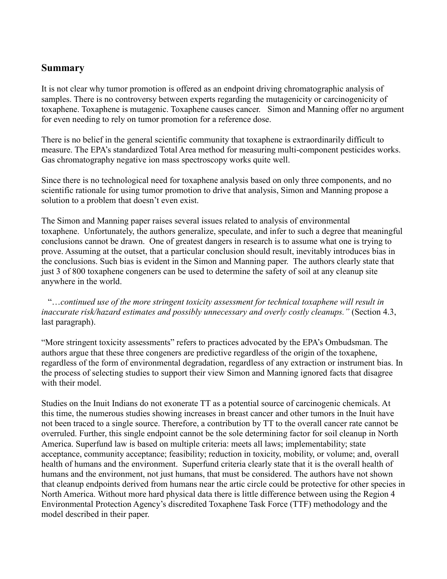#### **Summary**

It is not clear why tumor promotion is offered as an endpoint driving chromatographic analysis of samples. There is no controversy between experts regarding the mutagenicity or carcinogenicity of toxaphene. Toxaphene is mutagenic. Toxaphene causes cancer. Simon and Manning offer no argument for even needing to rely on tumor promotion for a reference dose.

There is no belief in the general scientific community that toxaphene is extraordinarily difficult to measure. The EPA's standardized Total Area method for measuring multi-component pesticides works. Gas chromatography negative ion mass spectroscopy works quite well.

Since there is no technological need for toxaphene analysis based on only three components, and no scientific rationale for using tumor promotion to drive that analysis, Simon and Manning propose a solution to a problem that doesn't even exist.

The Simon and Manning paper raises several issues related to analysis of environmental toxaphene. Unfortunately, the authors generalize, speculate, and infer to such a degree that meaningful conclusions cannot be drawn. One of greatest dangers in research is to assume what one is trying to prove. Assuming at the outset, that a particular conclusion should result, inevitably introduces bias in the conclusions. Such bias is evident in the Simon and Manning paper. The authors clearly state that just 3 of 800 toxaphene congeners can be used to determine the safety of soil at any cleanup site anywhere in the world.

"…*continued use of the more stringent toxicity assessment for technical toxaphene will result in inaccurate risk/hazard estimates and possibly unnecessary and overly costly cleanups."* (Section 4.3, last paragraph).

"More stringent toxicity assessments" refers to practices advocated by the EPA's Ombudsman. The authors argue that these three congeners are predictive regardless of the origin of the toxaphene, regardless of the form of environmental degradation, regardless of any extraction or instrument bias. In the process of selecting studies to support their view Simon and Manning ignored facts that disagree with their model.

Studies on the Inuit Indians do not exonerate TT as a potential source of carcinogenic chemicals. At this time, the numerous studies showing increases in breast cancer and other tumors in the Inuit have not been traced to a single source. Therefore, a contribution by TT to the overall cancer rate cannot be overruled. Further, this single endpoint cannot be the sole determining factor for soil cleanup in North America. Superfund law is based on multiple criteria: meets all laws; implementability; state acceptance, community acceptance; feasibility; reduction in toxicity, mobility, or volume; and, overall health of humans and the environment. Superfund criteria clearly state that it is the overall health of humans and the environment, not just humans, that must be considered. The authors have not shown that cleanup endpoints derived from humans near the artic circle could be protective for other species in North America. Without more hard physical data there is little difference between using the Region 4 Environmental Protection Agency's discredited Toxaphene Task Force (TTF) methodology and the model described in their paper.